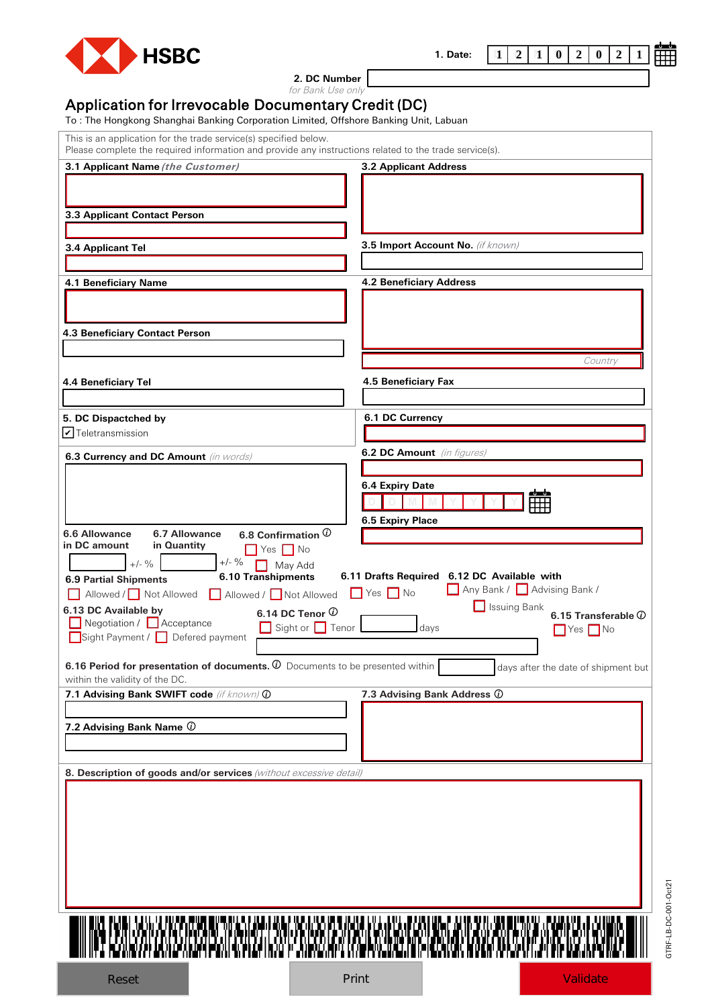

**2. DC Number**

**1. Date:**

for Bank Use only

## Application for Irrevocable Documentary Credit (DC) To : The Hongkong Shanghai Banking Corporation Limited, Offshore Banking Unit, Labuan

This is an application for the trade service(s) specified below.

| Please complete the required information and provide any instructions related to the trade service(s). |                                             |
|--------------------------------------------------------------------------------------------------------|---------------------------------------------|
| 3.1 Applicant Name (the Customer)                                                                      | <b>3.2 Applicant Address</b>                |
|                                                                                                        |                                             |
|                                                                                                        |                                             |
| 3.3 Applicant Contact Person                                                                           |                                             |
|                                                                                                        |                                             |
| 3.4 Applicant Tel                                                                                      | 3.5 Import Account No. (if known)           |
|                                                                                                        |                                             |
| 4.1 Beneficiary Name                                                                                   | <b>4.2 Beneficiary Address</b>              |
|                                                                                                        |                                             |
|                                                                                                        |                                             |
|                                                                                                        |                                             |
| 4.3 Beneficiary Contact Person                                                                         |                                             |
|                                                                                                        | Country                                     |
|                                                                                                        |                                             |
| 4.4 Beneficiary Tel                                                                                    | 4.5 Beneficiary Fax                         |
|                                                                                                        |                                             |
| 5. DC Dispactched by                                                                                   | 6.1 DC Currency                             |
| $\triangledown$ Teletransmission                                                                       |                                             |
|                                                                                                        | 6.2 DC Amount (in figures)                  |
| 6.3 Currency and DC Amount (in words)                                                                  |                                             |
|                                                                                                        |                                             |
|                                                                                                        | <b>6.4 Expiry Date</b><br>ماساه             |
|                                                                                                        |                                             |
|                                                                                                        | 6.5 Expiry Place                            |
| 6.6 Allowance<br>6.8 Confirmation $\overline{0}$<br>6.7 Allowance<br>in DC amount<br>in Quantity       |                                             |
| $Yes \tN$                                                                                              |                                             |
| $+/-$ %<br>$+/-$ %<br>May Add<br>-1<br>6.10 Transhipments                                              | 6.11 Drafts Required 6.12 DC Available with |
| <b>6.9 Partial Shipments</b>                                                                           | Any Bank / Advising Bank /                  |
| Allowed / Not Allowed   Allowed / Not Allowed                                                          | $Yes \tN$<br>Issuing Bank                   |
| 6.13 DC Available by<br>6.14 DC Tenor $\overline{0}$<br>Negotiation / <b>Acceptance</b>                | 6.15 Transferable $@$                       |
| Sight or $\Box$ Tenor<br>Sight Payment / Defered payment                                               | days<br>$\Box$ Yes $\Box$ No                |
|                                                                                                        |                                             |
| 6.16 Period for presentation of documents. $\overline{0}$ Documents to be presented within             | days after the date of shipment but         |
| within the validity of the DC.                                                                         |                                             |
| 7.1 Advising Bank SWIFT code (if known) @                                                              | 7.3 Advising Bank Address $@$               |
|                                                                                                        |                                             |
| 7.2 Advising Bank Name $@$                                                                             |                                             |
|                                                                                                        |                                             |
|                                                                                                        |                                             |
| 8. Description of goods and/or services (without excessive detail)                                     |                                             |
|                                                                                                        |                                             |
|                                                                                                        |                                             |
|                                                                                                        |                                             |
|                                                                                                        |                                             |
|                                                                                                        |                                             |
|                                                                                                        |                                             |
|                                                                                                        |                                             |
|                                                                                                        |                                             |
|                                                                                                        |                                             |
|                                                                                                        |                                             |
|                                                                                                        |                                             |
|                                                                                                        |                                             |
|                                                                                                        |                                             |



 $\begin{bmatrix} 1 & 2 & 1 \\ 1 & 0 & 2 \end{bmatrix}$   $\begin{bmatrix} 2 & 0 & 2 & 1 \\ 0 & 2 & 1 & 2 \end{bmatrix}$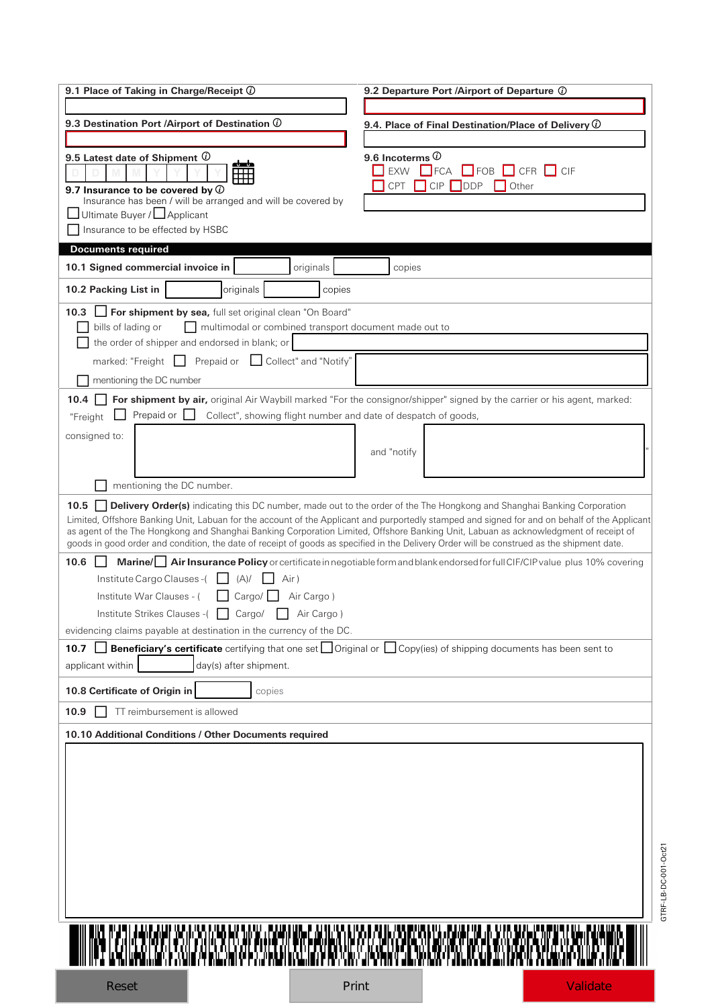| 9.1 Place of Taking in Charge/Receipt $@$                                                                                                                                                                                                                                          | 9.2 Departure Port /Airport of Departure (i)                                                                                                  |
|------------------------------------------------------------------------------------------------------------------------------------------------------------------------------------------------------------------------------------------------------------------------------------|-----------------------------------------------------------------------------------------------------------------------------------------------|
|                                                                                                                                                                                                                                                                                    |                                                                                                                                               |
| 9.3 Destination Port /Airport of Destination $\overline{0}$                                                                                                                                                                                                                        | 9.4. Place of Final Destination/Place of Delivery $\overline{0}$                                                                              |
|                                                                                                                                                                                                                                                                                    |                                                                                                                                               |
| 9.5 Latest date of Shipment $\overline{\omega}$<br>مساء<br>₩<br>9.7 Insurance to be covered by $\overline{\mathbb{O}}$<br>Insurance has been / will be arranged and will be covered by                                                                                             | 9.6 Incoterms $\overline{0}$<br>EXW<br>$\Box$ FOB $\Box$ CFR<br>ICIF<br>$\blacksquare$ FCA<br>CPT<br><b>CIP</b><br><b>DDP</b><br>Other        |
| Ultimate Buyer / Applicant                                                                                                                                                                                                                                                         |                                                                                                                                               |
| Insurance to be effected by HSBC                                                                                                                                                                                                                                                   |                                                                                                                                               |
| <b>Documents required</b>                                                                                                                                                                                                                                                          |                                                                                                                                               |
| 10.1 Signed commercial invoice in<br>originals<br>10.2 Packing List in<br>originals<br>copies                                                                                                                                                                                      | copies                                                                                                                                        |
|                                                                                                                                                                                                                                                                                    |                                                                                                                                               |
| 10.3 <b>Sigman For shipment by sea,</b> full set original clean "On Board"<br>multimodal or combined transport document made out to<br>bills of lading or<br>the order of shipper and endorsed in blank; or                                                                        |                                                                                                                                               |
| marked: "Freight $\Box$ Prepaid or<br>Collect" and "Notify"                                                                                                                                                                                                                        |                                                                                                                                               |
| mentioning the DC number                                                                                                                                                                                                                                                           |                                                                                                                                               |
| 10.4<br>Prepaid or $\Box$<br>Collect", showing flight number and date of despatch of goods,<br>"Freight                                                                                                                                                                            | For shipment by air, original Air Waybill marked "For the consignor/shipper" signed by the carrier or his agent, marked:                      |
| consigned to:                                                                                                                                                                                                                                                                      |                                                                                                                                               |
|                                                                                                                                                                                                                                                                                    | and "notify                                                                                                                                   |
| mentioning the DC number.                                                                                                                                                                                                                                                          |                                                                                                                                               |
| $10.5$                                                                                                                                                                                                                                                                             | <b>Delivery Order(s)</b> indicating this DC number, made out to the order of the The Hongkong and Shanghai Banking Corporation                |
| as agent of the The Hongkong and Shanghai Banking Corporation Limited, Offshore Banking Unit, Labuan as acknowledgment of receipt of<br>goods in good order and condition, the date of receipt of goods as specified in the Delivery Order will be construed as the shipment date. | Limited, Offshore Banking Unit, Labuan for the account of the Applicant and purportedly stamped and signed for and on behalf of the Applicant |
| 10.6                                                                                                                                                                                                                                                                               | Marine/ Air Insurance Policy or certificate in negotiable form and blank endorsed for full CIF/CIP value plus 10% covering                    |
| Institute Cargo Clauses-(<br>(A)/<br>Air)                                                                                                                                                                                                                                          |                                                                                                                                               |
| Institute War Clauses - (<br>Cargo/<br>Air Cargo)                                                                                                                                                                                                                                  |                                                                                                                                               |
| Institute Strikes Clauses -(<br>Cargo/<br>Air Cargo)                                                                                                                                                                                                                               |                                                                                                                                               |
| evidencing claims payable at destination in the currency of the DC.                                                                                                                                                                                                                |                                                                                                                                               |
|                                                                                                                                                                                                                                                                                    |                                                                                                                                               |
| 10.7                                                                                                                                                                                                                                                                               | <b>Beneficiary's certificate</b> certifying that one set $\Box$ Original or $\Box$ Copy(ies) of shipping documents has been sent to           |
| applicant within<br>day(s) after shipment.                                                                                                                                                                                                                                         |                                                                                                                                               |
| 10.8 Certificate of Origin in<br>copies                                                                                                                                                                                                                                            |                                                                                                                                               |
| TT reimbursement is allowed<br>10.9                                                                                                                                                                                                                                                |                                                                                                                                               |
| 10.10 Additional Conditions / Other Documents required                                                                                                                                                                                                                             |                                                                                                                                               |
|                                                                                                                                                                                                                                                                                    |                                                                                                                                               |
|                                                                                                                                                                                                                                                                                    |                                                                                                                                               |
|                                                                                                                                                                                                                                                                                    |                                                                                                                                               |
|                                                                                                                                                                                                                                                                                    |                                                                                                                                               |
|                                                                                                                                                                                                                                                                                    |                                                                                                                                               |

GTRF-LB-DC-001-Oct21

GTRF-LB-DC-001-Oct21